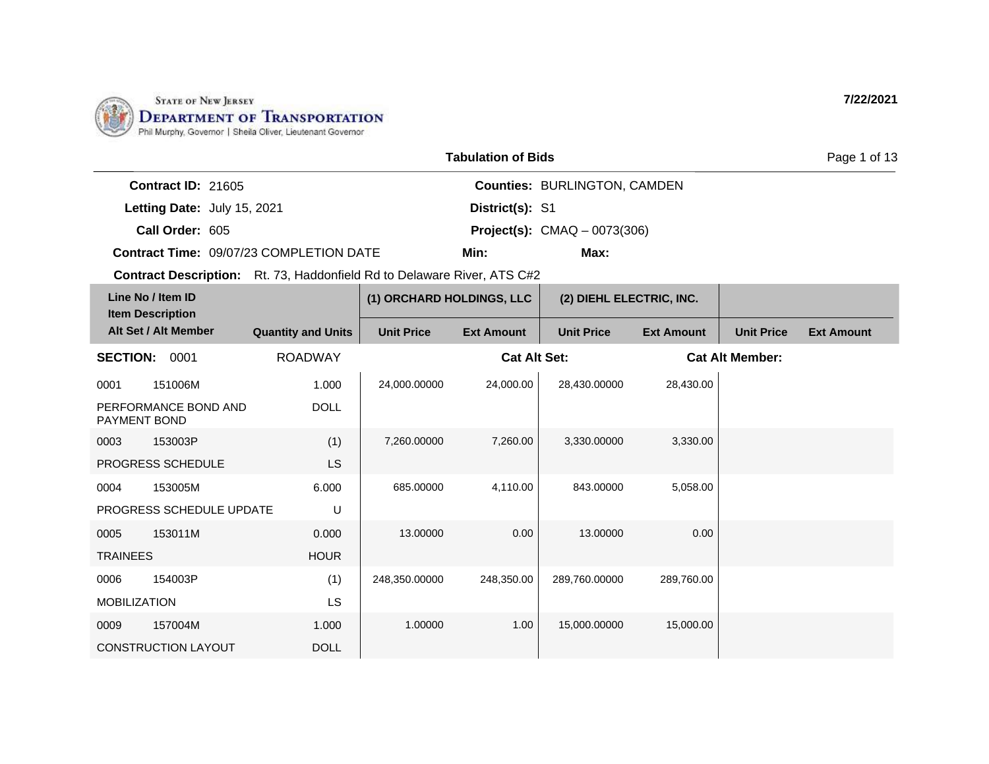

|                             |                                                | <b>Tabulation of Bids</b> |                                       |
|-----------------------------|------------------------------------------------|---------------------------|---------------------------------------|
| <b>Contract ID: 21605</b>   |                                                |                           | <b>Counties: BURLINGTON, CAMDEN</b>   |
| Letting Date: July 15, 2021 |                                                | District(s): S1           |                                       |
| Call Order: 605             |                                                |                           | <b>Project(s):</b> $CMAQ - 0073(306)$ |
|                             | <b>Contract Time: 09/07/23 COMPLETION DATE</b> | Min:                      | Max:                                  |

| Line No / Item ID<br><b>Item Description</b> |                            |                           | (1) ORCHARD HOLDINGS, LLC |                     | (2) DIEHL ELECTRIC, INC. |                   |                        |                   |
|----------------------------------------------|----------------------------|---------------------------|---------------------------|---------------------|--------------------------|-------------------|------------------------|-------------------|
|                                              | Alt Set / Alt Member       | <b>Quantity and Units</b> | <b>Unit Price</b>         | <b>Ext Amount</b>   | <b>Unit Price</b>        | <b>Ext Amount</b> | <b>Unit Price</b>      | <b>Ext Amount</b> |
| <b>SECTION:</b>                              | 0001                       | <b>ROADWAY</b>            |                           | <b>Cat Alt Set:</b> |                          |                   | <b>Cat Alt Member:</b> |                   |
| 0001                                         | 151006M                    | 1.000                     | 24,000.00000              | 24,000.00           | 28,430.00000             | 28,430.00         |                        |                   |
| PAYMENT BOND                                 | PERFORMANCE BOND AND       | <b>DOLL</b>               |                           |                     |                          |                   |                        |                   |
| 0003                                         | 153003P                    | (1)                       | 7,260,00000               | 7,260.00            | 3,330.00000              | 3,330.00          |                        |                   |
|                                              | <b>PROGRESS SCHEDULE</b>   | LS                        |                           |                     |                          |                   |                        |                   |
| 0004                                         | 153005M                    | 6.000                     | 685.00000                 | 4,110.00            | 843.00000                | 5,058.00          |                        |                   |
|                                              | PROGRESS SCHEDULE UPDATE   | U                         |                           |                     |                          |                   |                        |                   |
| 0005                                         | 153011M                    | 0.000                     | 13.00000                  | 0.00                | 13.00000                 | 0.00              |                        |                   |
| <b>TRAINEES</b>                              |                            | <b>HOUR</b>               |                           |                     |                          |                   |                        |                   |
| 0006                                         | 154003P                    | (1)                       | 248,350.00000             | 248,350.00          | 289,760.00000            | 289,760.00        |                        |                   |
| <b>MOBILIZATION</b>                          |                            | LS                        |                           |                     |                          |                   |                        |                   |
| 0009                                         | 157004M                    | 1.000                     | 1.00000                   | 1.00                | 15,000.00000             | 15,000.00         |                        |                   |
|                                              | <b>CONSTRUCTION LAYOUT</b> | <b>DOLL</b>               |                           |                     |                          |                   |                        |                   |

**7/22/2021**

Page 1 of 13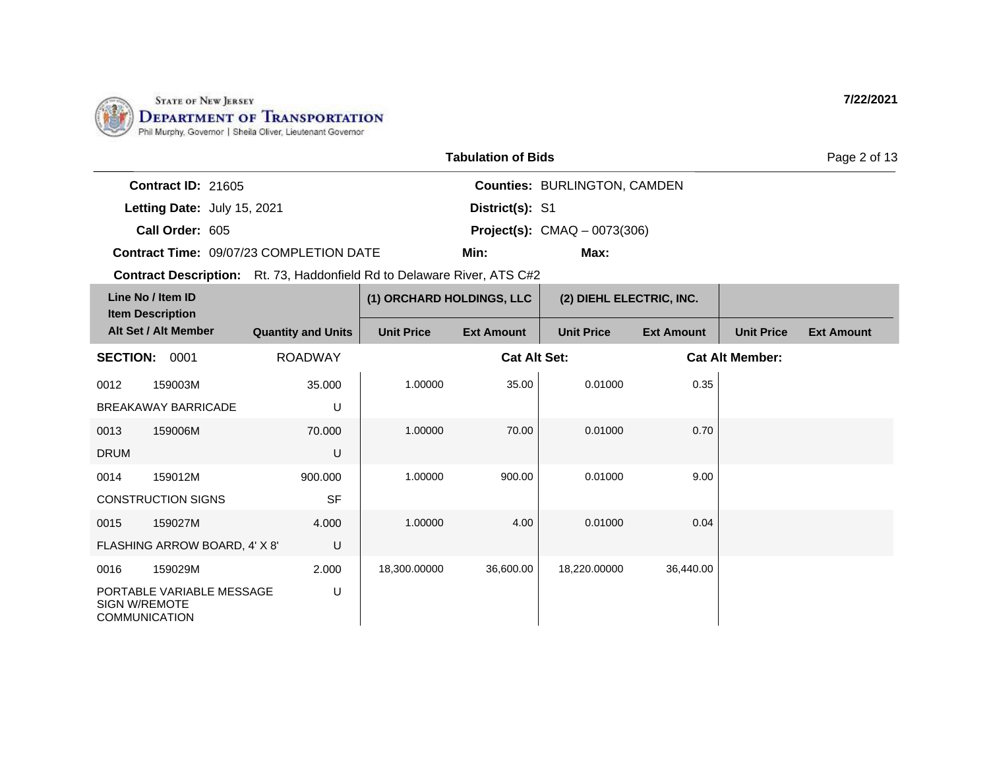

| <b>Tabulation of Bids</b> |                                     |
|---------------------------|-------------------------------------|
|                           | <b>Counties: BURLINGTON, CAMDEN</b> |

**Letting Date:** July 15, 2021 **District(s): S1** 

**Call Order:** 605 **Project(s):** CMAQ – 0073(306)

**Contract ID:** 21605

**Contract Time:** 09/07/23 COMPLETION DATE

**Min: Max:**

**District(s):**

**Contract Description:** Rt. 73, Haddonfield Rd to Delaware River, ATS C#2

|                      | Line No / Item ID<br><b>Item Description</b>      |                           | (1) ORCHARD HOLDINGS, LLC |                     | (2) DIEHL ELECTRIC, INC. |                   |                        |                   |
|----------------------|---------------------------------------------------|---------------------------|---------------------------|---------------------|--------------------------|-------------------|------------------------|-------------------|
|                      | Alt Set / Alt Member                              | <b>Quantity and Units</b> | <b>Unit Price</b>         | <b>Ext Amount</b>   | <b>Unit Price</b>        | <b>Ext Amount</b> | <b>Unit Price</b>      | <b>Ext Amount</b> |
| <b>SECTION:</b>      | 0001                                              | <b>ROADWAY</b>            |                           | <b>Cat Alt Set:</b> |                          |                   | <b>Cat Alt Member:</b> |                   |
| 0012                 | 159003M                                           | 35.000                    | 1.00000                   | 35.00               | 0.01000                  | 0.35              |                        |                   |
|                      | <b>BREAKAWAY BARRICADE</b>                        | U                         |                           |                     |                          |                   |                        |                   |
| 0013                 | 159006M                                           | 70.000                    | 1.00000                   | 70.00               | 0.01000                  | 0.70              |                        |                   |
| <b>DRUM</b>          |                                                   | U                         |                           |                     |                          |                   |                        |                   |
| 0014                 | 159012M                                           | 900.000                   | 1.00000                   | 900.00              | 0.01000                  | 9.00              |                        |                   |
|                      | <b>CONSTRUCTION SIGNS</b>                         | <b>SF</b>                 |                           |                     |                          |                   |                        |                   |
| 0015                 | 159027M                                           | 4.000                     | 1.00000                   | 4.00                | 0.01000                  | 0.04              |                        |                   |
|                      | FLASHING ARROW BOARD, 4' X 8'                     | U                         |                           |                     |                          |                   |                        |                   |
| 0016                 | 159029M                                           | 2.000                     | 18,300.00000              | 36,600.00           | 18,220.00000             | 36,440.00         |                        |                   |
| <b>SIGN W/REMOTE</b> | PORTABLE VARIABLE MESSAGE<br><b>COMMUNICATION</b> | U                         |                           |                     |                          |                   |                        |                   |

**7/22/2021**

Page 2 of 13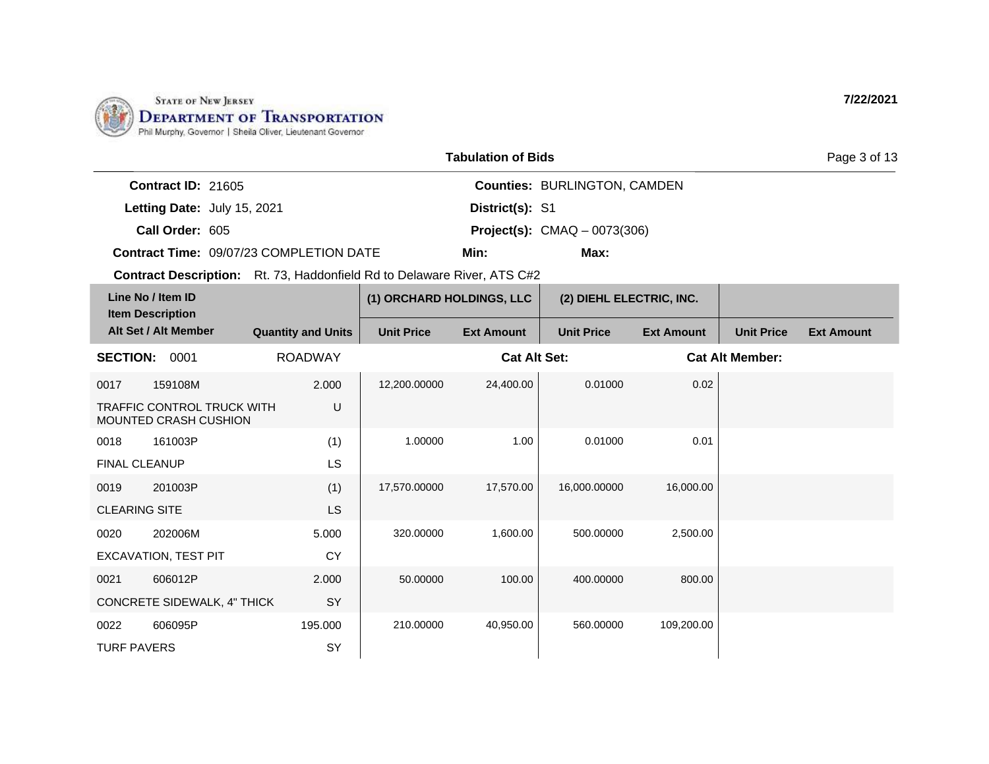

|                             |                                                | <b>Tabulation of Bids</b> |                                       | Page 3 of 13 |
|-----------------------------|------------------------------------------------|---------------------------|---------------------------------------|--------------|
| Contract $ID: 21605$        |                                                |                           | <b>Counties: BURLINGTON, CAMDEN</b>   |              |
| Letting Date: July 15, 2021 |                                                | District(s): S1           |                                       |              |
| Call Order: 605             |                                                |                           | <b>Project(s):</b> $CMAQ - 0073(306)$ |              |
|                             | <b>Contract Time: 09/07/23 COMPLETION DATE</b> | Min:                      | Max:                                  |              |

| Line No / Item ID<br><b>Item Description</b> |                                                                   |                           | (1) ORCHARD HOLDINGS, LLC |                     | (2) DIEHL ELECTRIC, INC. |                   |                        |                   |
|----------------------------------------------|-------------------------------------------------------------------|---------------------------|---------------------------|---------------------|--------------------------|-------------------|------------------------|-------------------|
|                                              | Alt Set / Alt Member                                              | <b>Quantity and Units</b> | <b>Unit Price</b>         | <b>Ext Amount</b>   | <b>Unit Price</b>        | <b>Ext Amount</b> | <b>Unit Price</b>      | <b>Ext Amount</b> |
| <b>SECTION:</b>                              | 0001                                                              | <b>ROADWAY</b>            |                           | <b>Cat Alt Set:</b> |                          |                   | <b>Cat Alt Member:</b> |                   |
| 0017                                         | 159108M                                                           | 2.000                     | 12,200.00000              | 24,400.00           | 0.01000                  | 0.02              |                        |                   |
|                                              | <b>TRAFFIC CONTROL TRUCK WITH</b><br><b>MOUNTED CRASH CUSHION</b> | U                         |                           |                     |                          |                   |                        |                   |
| 0018                                         | 161003P                                                           | (1)                       | 1.00000                   | 1.00                | 0.01000                  | 0.01              |                        |                   |
| <b>FINAL CLEANUP</b>                         |                                                                   | LS                        |                           |                     |                          |                   |                        |                   |
| 0019                                         | 201003P                                                           | (1)                       | 17,570.00000              | 17,570.00           | 16,000.00000             | 16,000.00         |                        |                   |
| <b>CLEARING SITE</b>                         |                                                                   | LS                        |                           |                     |                          |                   |                        |                   |
| 0020                                         | 202006M                                                           | 5.000                     | 320.00000                 | 1,600.00            | 500.00000                | 2,500.00          |                        |                   |
|                                              | <b>EXCAVATION, TEST PIT</b>                                       | <b>CY</b>                 |                           |                     |                          |                   |                        |                   |
| 0021                                         | 606012P                                                           | 2.000                     | 50.00000                  | 100.00              | 400.00000                | 800.00            |                        |                   |
|                                              | <b>CONCRETE SIDEWALK, 4" THICK</b>                                | SY                        |                           |                     |                          |                   |                        |                   |
| 0022                                         | 606095P                                                           | 195.000                   | 210.00000                 | 40,950.00           | 560.00000                | 109,200.00        |                        |                   |
| <b>TURF PAVERS</b>                           |                                                                   | SY                        |                           |                     |                          |                   |                        |                   |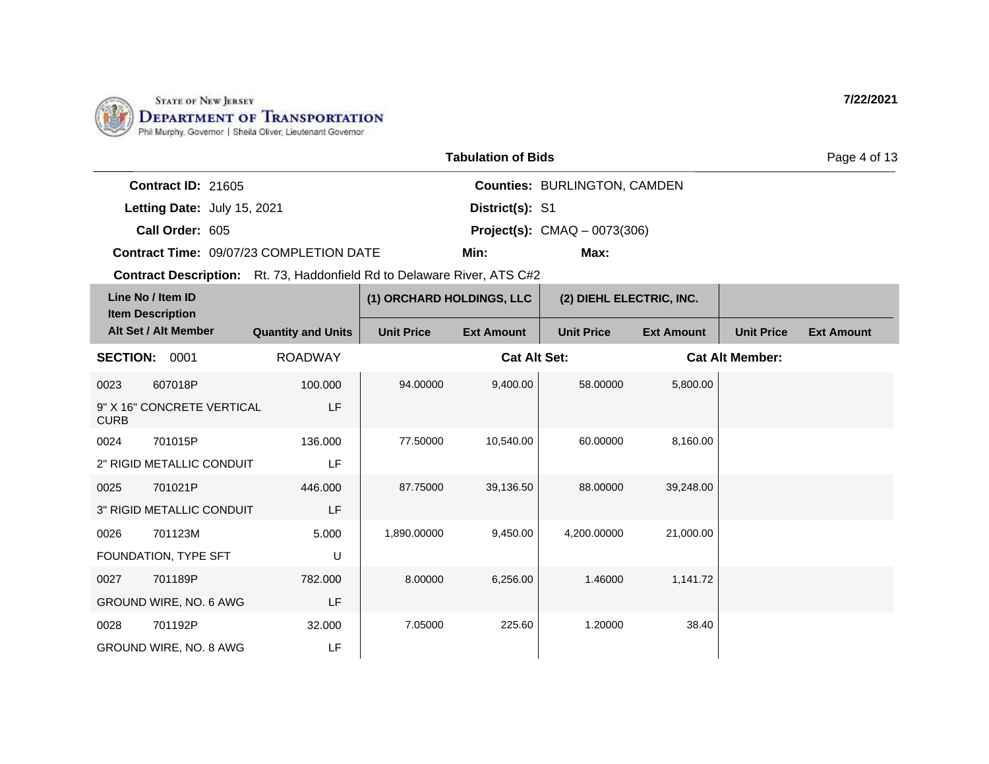

|                                                | <b>Tabulation of Bids</b> |                                       | Page 4 of 13 |  |  |
|------------------------------------------------|---------------------------|---------------------------------------|--------------|--|--|
| <b>Contract ID: 21605</b>                      |                           | <b>Counties: BURLINGTON, CAMDEN</b>   |              |  |  |
| Letting Date: July 15, 2021                    | District(s): S1           |                                       |              |  |  |
| Call Order: 605                                |                           | <b>Project(s):</b> $CMAQ - 0073(306)$ |              |  |  |
| <b>Contract Time: 09/07/23 COMPLETION DATE</b> | Min:                      | Max:                                  |              |  |  |

| Line No / Item ID<br><b>Item Description</b> |                            |                           | (1) ORCHARD HOLDINGS, LLC |                     | (2) DIEHL ELECTRIC, INC. |                   |                        |                   |
|----------------------------------------------|----------------------------|---------------------------|---------------------------|---------------------|--------------------------|-------------------|------------------------|-------------------|
|                                              | Alt Set / Alt Member       | <b>Quantity and Units</b> | <b>Unit Price</b>         | <b>Ext Amount</b>   | <b>Unit Price</b>        | <b>Ext Amount</b> | <b>Unit Price</b>      | <b>Ext Amount</b> |
| <b>SECTION:</b>                              | 0001                       | <b>ROADWAY</b>            |                           | <b>Cat Alt Set:</b> |                          |                   | <b>Cat Alt Member:</b> |                   |
| 0023                                         | 607018P                    | 100.000                   | 94.00000                  | 9,400.00            | 58,00000                 | 5,800.00          |                        |                   |
| <b>CURB</b>                                  | 9" X 16" CONCRETE VERTICAL | LF                        |                           |                     |                          |                   |                        |                   |
| 0024                                         | 701015P                    | 136.000                   | 77.50000                  | 10,540.00           | 60.00000                 | 8,160.00          |                        |                   |
|                                              | 2" RIGID METALLIC CONDUIT  | LF                        |                           |                     |                          |                   |                        |                   |
| 0025                                         | 701021P                    | 446.000                   | 87.75000                  | 39,136.50           | 88,00000                 | 39,248.00         |                        |                   |
|                                              | 3" RIGID METALLIC CONDUIT  | LF                        |                           |                     |                          |                   |                        |                   |
| 0026                                         | 701123M                    | 5.000                     | 1,890.00000               | 9,450.00            | 4,200.00000              | 21,000.00         |                        |                   |
|                                              | FOUNDATION, TYPE SFT       | U                         |                           |                     |                          |                   |                        |                   |
| 0027                                         | 701189P                    | 782.000                   | 8.00000                   | 6,256.00            | 1.46000                  | 1,141.72          |                        |                   |
|                                              | GROUND WIRE, NO. 6 AWG     | <b>LF</b>                 |                           |                     |                          |                   |                        |                   |
| 0028                                         | 701192P                    | 32.000                    | 7.05000                   | 225.60              | 1.20000                  | 38.40             |                        |                   |
|                                              | GROUND WIRE, NO. 8 AWG     | LF                        |                           |                     |                          |                   |                        |                   |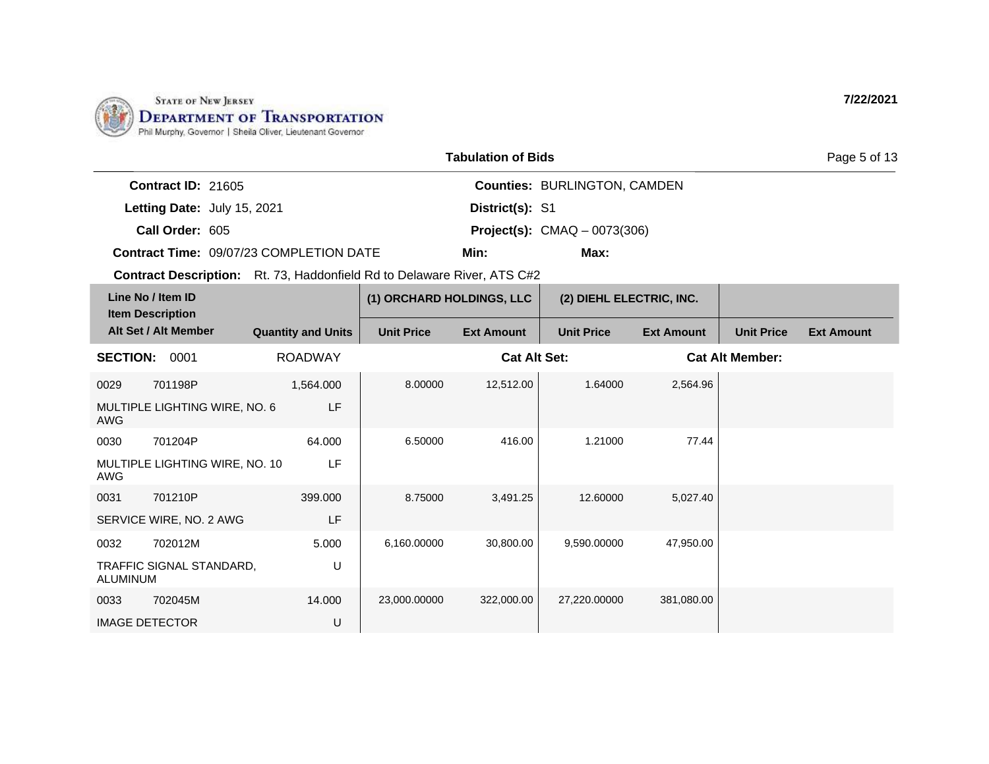

|                             |                                                | <b>Tabulation of Bids</b> |                                       | Page 5 of 13 |  |  |
|-----------------------------|------------------------------------------------|---------------------------|---------------------------------------|--------------|--|--|
| Contract $ID: 21605$        |                                                |                           | <b>Counties: BURLINGTON, CAMDEN</b>   |              |  |  |
| Letting Date: July 15, 2021 |                                                | District(s): S1           |                                       |              |  |  |
| Call Order: 605             |                                                |                           | <b>Project(s):</b> $CMAQ - 0073(306)$ |              |  |  |
|                             | <b>Contract Time: 09/07/23 COMPLETION DATE</b> | Min:                      | Max:                                  |              |  |  |

| Line No / Item ID<br><b>Item Description</b> |                                |                           | (1) ORCHARD HOLDINGS, LLC |                     | (2) DIEHL ELECTRIC, INC. |                   |                        |                   |
|----------------------------------------------|--------------------------------|---------------------------|---------------------------|---------------------|--------------------------|-------------------|------------------------|-------------------|
|                                              | Alt Set / Alt Member           | <b>Quantity and Units</b> | <b>Unit Price</b>         | <b>Ext Amount</b>   | <b>Unit Price</b>        | <b>Ext Amount</b> | <b>Unit Price</b>      | <b>Ext Amount</b> |
| <b>SECTION:</b>                              | 0001                           | <b>ROADWAY</b>            |                           | <b>Cat Alt Set:</b> |                          |                   | <b>Cat Alt Member:</b> |                   |
| 0029                                         | 701198P                        | 1,564.000                 | 8.00000                   | 12,512.00           | 1.64000                  | 2,564.96          |                        |                   |
| AWG                                          | MULTIPLE LIGHTING WIRE, NO. 6  | LF                        |                           |                     |                          |                   |                        |                   |
| 0030                                         | 701204P                        | 64.000                    | 6.50000                   | 416.00              | 1.21000                  | 77.44             |                        |                   |
| AWG                                          | MULTIPLE LIGHTING WIRE, NO. 10 | LF                        |                           |                     |                          |                   |                        |                   |
| 0031                                         | 701210P                        | 399.000                   | 8.75000                   | 3,491.25            | 12,60000                 | 5,027.40          |                        |                   |
|                                              | SERVICE WIRE, NO. 2 AWG        | LF                        |                           |                     |                          |                   |                        |                   |
| 0032                                         | 702012M                        | 5.000                     | 6,160.00000               | 30,800.00           | 9,590.00000              | 47,950.00         |                        |                   |
| <b>ALUMINUM</b>                              | TRAFFIC SIGNAL STANDARD,       | U                         |                           |                     |                          |                   |                        |                   |
| 0033                                         | 702045M                        | 14.000                    | 23,000.00000              | 322,000.00          | 27,220.00000             | 381,080.00        |                        |                   |
|                                              | <b>IMAGE DETECTOR</b>          | U                         |                           |                     |                          |                   |                        |                   |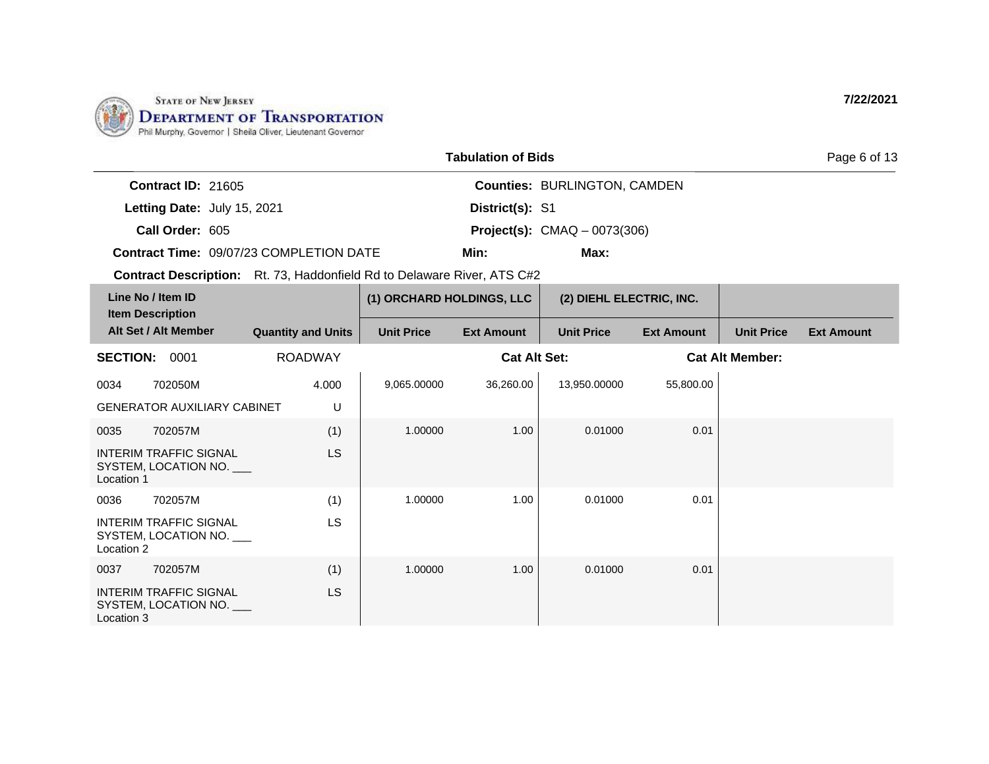

|                             |                                         | <b>Tabulation of Bids</b> |                                       | Page 6 of 13 |
|-----------------------------|-----------------------------------------|---------------------------|---------------------------------------|--------------|
| Contract $ID: 21605$        |                                         |                           | <b>Counties: BURLINGTON, CAMDEN</b>   |              |
| Letting Date: July 15, 2021 |                                         | District(s): S1           |                                       |              |
| Call Order: 605             |                                         |                           | <b>Project(s):</b> $CMAQ - 0073(306)$ |              |
|                             | Contract Time: 09/07/23 COMPLETION DATE | Min:                      | Max:                                  |              |

| Line No / Item ID<br><b>Item Description</b> |                                                       |                           | (1) ORCHARD HOLDINGS, LLC |                     | (2) DIEHL ELECTRIC, INC. |                   |                        |                   |
|----------------------------------------------|-------------------------------------------------------|---------------------------|---------------------------|---------------------|--------------------------|-------------------|------------------------|-------------------|
|                                              | Alt Set / Alt Member                                  | <b>Quantity and Units</b> | <b>Unit Price</b>         | <b>Ext Amount</b>   | <b>Unit Price</b>        | <b>Ext Amount</b> | <b>Unit Price</b>      | <b>Ext Amount</b> |
| <b>SECTION:</b>                              | 0001                                                  | <b>ROADWAY</b>            |                           | <b>Cat Alt Set:</b> |                          |                   | <b>Cat Alt Member:</b> |                   |
| 0034                                         | 702050M                                               | 4.000                     | 9,065.00000               | 36,260.00           | 13,950.00000             | 55,800.00         |                        |                   |
|                                              | <b>GENERATOR AUXILIARY CABINET</b>                    | U                         |                           |                     |                          |                   |                        |                   |
| 0035                                         | 702057M                                               | (1)                       | 1.00000                   | 1.00                | 0.01000                  | 0.01              |                        |                   |
| Location 1                                   | INTERIM TRAFFIC SIGNAL<br>SYSTEM, LOCATION NO.        | <b>LS</b>                 |                           |                     |                          |                   |                        |                   |
| 0036                                         | 702057M                                               | (1)                       | 1.00000                   | 1.00                | 0.01000                  | 0.01              |                        |                   |
| Location 2                                   | <b>INTERIM TRAFFIC SIGNAL</b><br>SYSTEM, LOCATION NO. | LS                        |                           |                     |                          |                   |                        |                   |
| 0037                                         | 702057M                                               | (1)                       | 1.00000                   | 1.00                | 0.01000                  | 0.01              |                        |                   |
| Location 3                                   | <b>INTERIM TRAFFIC SIGNAL</b><br>SYSTEM, LOCATION NO. | <b>LS</b>                 |                           |                     |                          |                   |                        |                   |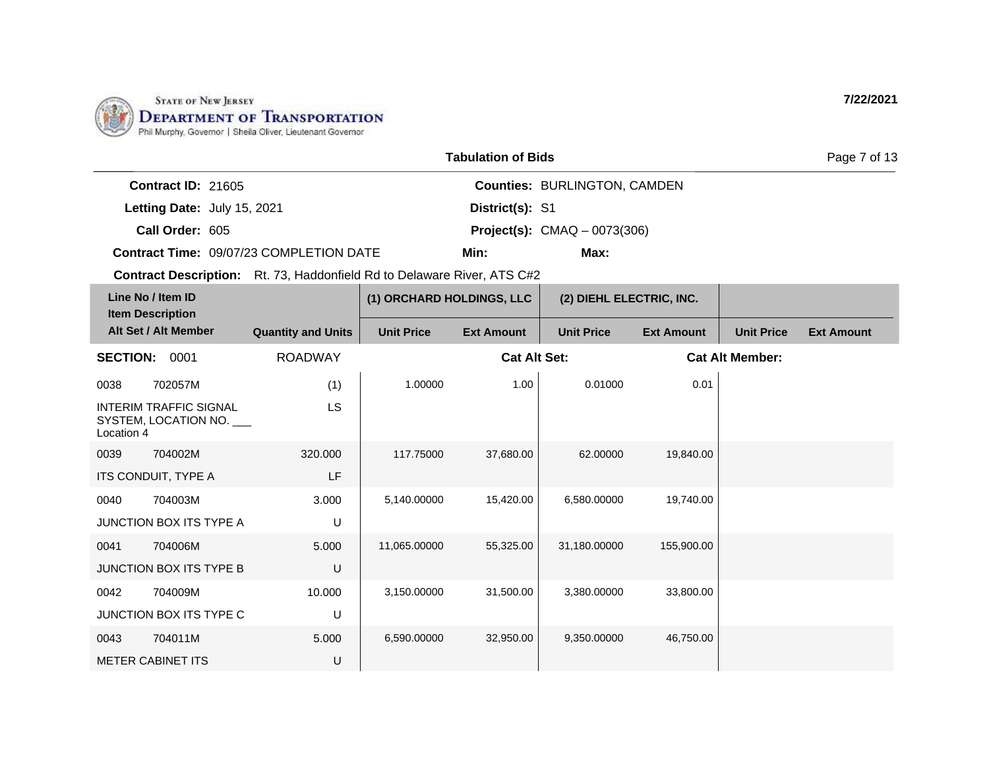

| <b>Tabulation of Bids</b> |  |
|---------------------------|--|
|                           |  |

**Contract ID:** 21605

**Letting Date:** July 15, 2021 **District(s): S1** 

**Call Order:** 605 **Project(s):** CMAQ – 0073(306)

**Contract Time:** 09/07/23 COMPLETION DATE

**Min: Max:**

**Counties:** BURLINGTON, CAMDEN

**District(s):**

**Contract Description:** Rt. 73, Haddonfield Rd to Delaware River, ATS C#2

| Line No / Item ID<br><b>Item Description</b>                        |                           | (1) ORCHARD HOLDINGS, LLC |                     | (2) DIEHL ELECTRIC, INC. |                   |                        |                   |
|---------------------------------------------------------------------|---------------------------|---------------------------|---------------------|--------------------------|-------------------|------------------------|-------------------|
| Alt Set / Alt Member                                                | <b>Quantity and Units</b> | <b>Unit Price</b>         | <b>Ext Amount</b>   | <b>Unit Price</b>        | <b>Ext Amount</b> | <b>Unit Price</b>      | <b>Ext Amount</b> |
| <b>SECTION:</b><br>0001                                             | <b>ROADWAY</b>            |                           | <b>Cat Alt Set:</b> |                          |                   | <b>Cat Alt Member:</b> |                   |
| 0038<br>702057M                                                     | (1)                       | 1.00000                   | 1.00                | 0.01000                  | 0.01              |                        |                   |
| <b>INTERIM TRAFFIC SIGNAL</b><br>SYSTEM, LOCATION NO.<br>Location 4 | LS                        |                           |                     |                          |                   |                        |                   |
| 0039<br>704002M                                                     | 320,000                   | 117.75000                 | 37,680.00           | 62.00000                 | 19,840.00         |                        |                   |
| ITS CONDUIT, TYPE A                                                 | LF.                       |                           |                     |                          |                   |                        |                   |
| 704003M<br>0040                                                     | 3.000                     | 5,140.00000               | 15,420.00           | 6,580.00000              | 19,740.00         |                        |                   |
| JUNCTION BOX ITS TYPE A                                             | U                         |                           |                     |                          |                   |                        |                   |
| 704006M<br>0041                                                     | 5.000                     | 11,065.00000              | 55,325.00           | 31,180.00000             | 155,900.00        |                        |                   |
| <b>JUNCTION BOX ITS TYPE B</b>                                      | U                         |                           |                     |                          |                   |                        |                   |
| 0042<br>704009M                                                     | 10.000                    | 3,150.00000               | 31,500.00           | 3,380.00000              | 33,800.00         |                        |                   |
| JUNCTION BOX ITS TYPE C                                             | U                         |                           |                     |                          |                   |                        |                   |
| 0043<br>704011M                                                     | 5.000                     | 6,590.00000               | 32,950.00           | 9,350.00000              | 46,750.00         |                        |                   |
| <b>METER CABINET ITS</b>                                            | U                         |                           |                     |                          |                   |                        |                   |

Page 7 of 13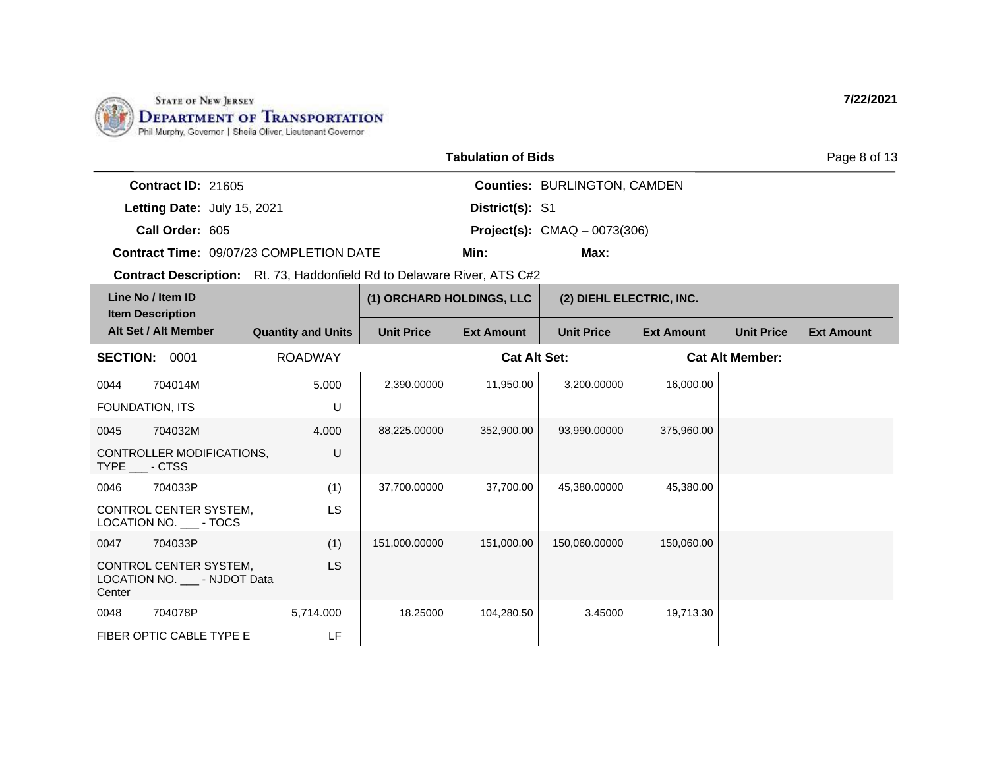

|                             |                                                | <b>Tabulation of Bids</b> |                                       |
|-----------------------------|------------------------------------------------|---------------------------|---------------------------------------|
| Contract $ID: 21605$        |                                                |                           | <b>Counties: BURLINGTON, CAMDEN</b>   |
| Letting Date: July 15, 2021 |                                                | District(s): S1           |                                       |
| Call Order: 605             |                                                |                           | <b>Project(s):</b> $CMAQ - 0073(306)$ |
|                             | <b>Contract Time: 09/07/23 COMPLETION DATE</b> | Min:                      | Max:                                  |

| Line No / Item ID<br><b>Item Description</b> |                                                         |                           | (1) ORCHARD HOLDINGS, LLC |                     | (2) DIEHL ELECTRIC, INC. |                   |                        |                   |
|----------------------------------------------|---------------------------------------------------------|---------------------------|---------------------------|---------------------|--------------------------|-------------------|------------------------|-------------------|
|                                              | Alt Set / Alt Member                                    | <b>Quantity and Units</b> | <b>Unit Price</b>         | <b>Ext Amount</b>   | <b>Unit Price</b>        | <b>Ext Amount</b> | <b>Unit Price</b>      | <b>Ext Amount</b> |
| <b>SECTION:</b>                              | 0001                                                    | <b>ROADWAY</b>            |                           | <b>Cat Alt Set:</b> |                          |                   | <b>Cat Alt Member:</b> |                   |
| 0044                                         | 704014M                                                 | 5.000                     | 2,390.00000               | 11,950.00           | 3.200.00000              | 16,000.00         |                        |                   |
| FOUNDATION, ITS                              |                                                         | U                         |                           |                     |                          |                   |                        |                   |
| 0045                                         | 704032M                                                 | 4.000                     | 88,225.00000              | 352,900.00          | 93,990.00000             | 375,960.00        |                        |                   |
| TYPE - CTSS                                  | CONTROLLER MODIFICATIONS,                               | U                         |                           |                     |                          |                   |                        |                   |
| 0046                                         | 704033P                                                 | (1)                       | 37,700.00000              | 37,700.00           | 45,380.00000             | 45,380.00         |                        |                   |
|                                              | CONTROL CENTER SYSTEM,<br>LOCATION NO. ____- TOCS       | LS                        |                           |                     |                          |                   |                        |                   |
| 0047                                         | 704033P                                                 | (1)                       | 151,000.00000             | 151,000.00          | 150,060.00000            | 150,060.00        |                        |                   |
| Center                                       | CONTROL CENTER SYSTEM,<br>LOCATION NO. ___ - NJDOT Data | <b>LS</b>                 |                           |                     |                          |                   |                        |                   |
| 0048                                         | 704078P                                                 | 5,714.000                 | 18,25000                  | 104,280.50          | 3.45000                  | 19,713.30         |                        |                   |
|                                              | FIBER OPTIC CABLE TYPE E                                | LF                        |                           |                     |                          |                   |                        |                   |

**7/22/2021**

Page 8 of 13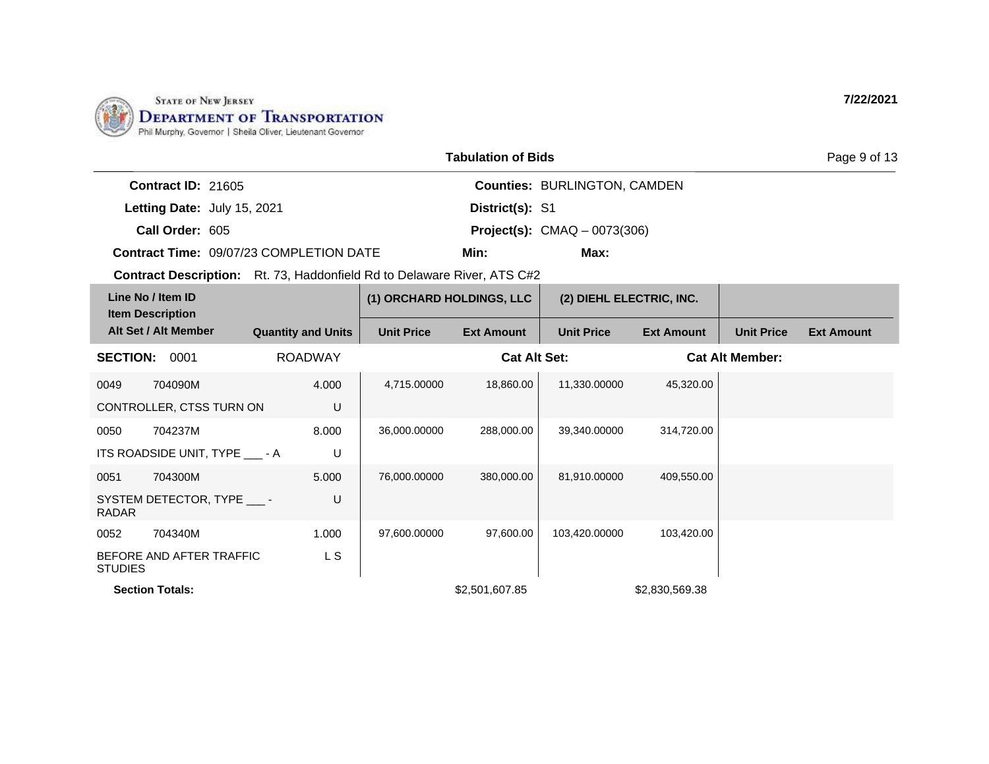

|                                                                                |                           |                           | <b>Tabulation of Bids</b> |                                     |                   |                        | Page 9 of 13      |
|--------------------------------------------------------------------------------|---------------------------|---------------------------|---------------------------|-------------------------------------|-------------------|------------------------|-------------------|
| Contract ID: 21605                                                             |                           |                           |                           | <b>Counties: BURLINGTON, CAMDEN</b> |                   |                        |                   |
| Letting Date: July 15, 2021                                                    |                           |                           | District(s): S1           |                                     |                   |                        |                   |
| Call Order: 605                                                                |                           |                           |                           | Project(s): $CMAQ - 0073(306)$      |                   |                        |                   |
| Contract Time: 09/07/23 COMPLETION DATE                                        |                           |                           | Min:                      | Max:                                |                   |                        |                   |
| <b>Contract Description:</b> Rt. 73, Haddonfield Rd to Delaware River, ATS C#2 |                           |                           |                           |                                     |                   |                        |                   |
| Line No / Item ID<br><b>Item Description</b>                                   |                           | (1) ORCHARD HOLDINGS, LLC |                           | (2) DIEHL ELECTRIC, INC.            |                   |                        |                   |
| Alt Set / Alt Member                                                           | <b>Quantity and Units</b> | <b>Unit Price</b>         | <b>Ext Amount</b>         | <b>Unit Price</b>                   | <b>Ext Amount</b> | <b>Unit Price</b>      | <b>Ext Amount</b> |
| <b>SECTION:</b><br>0001                                                        | <b>ROADWAY</b>            |                           | <b>Cat Alt Set:</b>       |                                     |                   | <b>Cat Alt Member:</b> |                   |
| 704090M<br>0049                                                                | 4.000                     | 4,715.00000               | 18,860.00                 | 11,330.00000                        | 45,320.00         |                        |                   |
| CONTROLLER, CTSS TURN ON                                                       | U                         |                           |                           |                                     |                   |                        |                   |
| 704237M<br>0050                                                                | 8.000                     | 36,000.00000              | 288.000.00                | 39.340.00000                        | 314,720.00        |                        |                   |
| ITS ROADSIDE UNIT, TYPE ____- A                                                | U                         |                           |                           |                                     |                   |                        |                   |
| 704300M<br>0051                                                                | 5.000                     | 76,000.00000              | 380,000.00                | 81,910.00000                        | 409,550.00        |                        |                   |
| SYSTEM DETECTOR, TYPE ____-<br><b>RADAR</b>                                    | U                         |                           |                           |                                     |                   |                        |                   |
| 704340M<br>0052                                                                | 1.000                     | 97,600.00000              | 97,600.00                 | 103,420.00000                       | 103,420.00        |                        |                   |

**Section Totals:**  $$2,501,607.85$   $$2,830,569.38$ 

STUDIES

BEFORE AND AFTER TRAFFIC

L S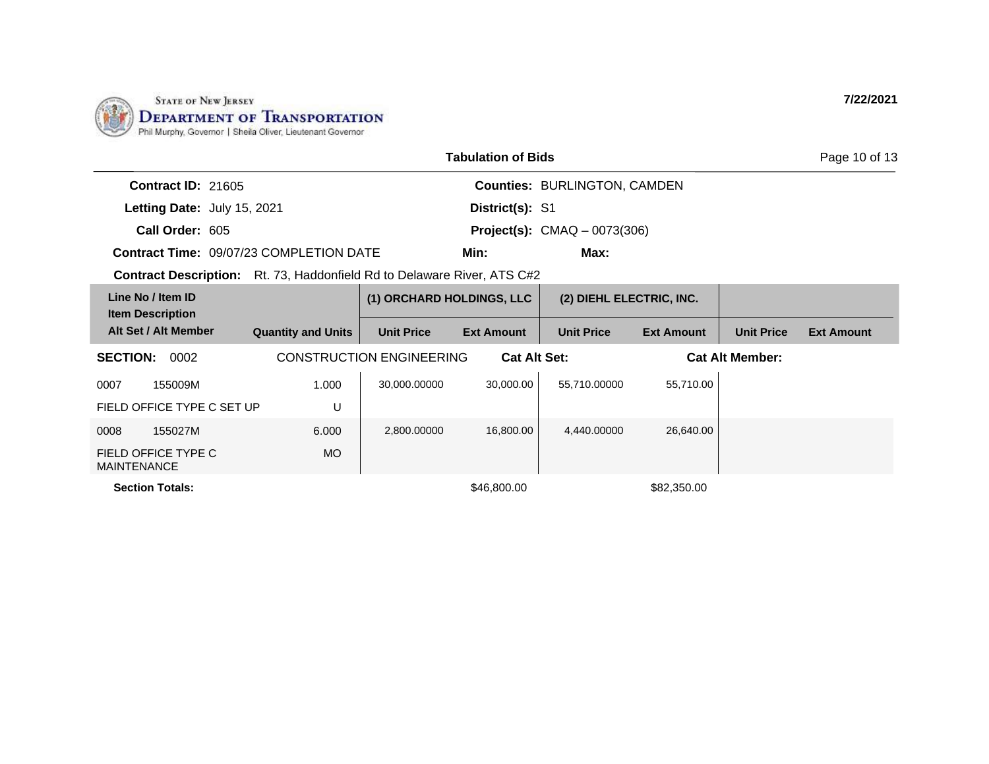

| <b>Tabulation of Bids</b>                    |  |                                                                                |                                 |                     |                                       |                   |                        | Page 10 of 13     |
|----------------------------------------------|--|--------------------------------------------------------------------------------|---------------------------------|---------------------|---------------------------------------|-------------------|------------------------|-------------------|
| Contract ID: 21605                           |  |                                                                                |                                 |                     | <b>Counties: BURLINGTON, CAMDEN</b>   |                   |                        |                   |
| Letting Date: July 15, 2021                  |  |                                                                                |                                 | District(s): S1     |                                       |                   |                        |                   |
| Call Order: 605                              |  |                                                                                |                                 |                     | <b>Project(s):</b> $CMAQ - 0073(306)$ |                   |                        |                   |
|                                              |  | <b>Contract Time: 09/07/23 COMPLETION DATE</b>                                 |                                 | Min:                | Max:                                  |                   |                        |                   |
|                                              |  | <b>Contract Description:</b> Rt. 73, Haddonfield Rd to Delaware River, ATS C#2 |                                 |                     |                                       |                   |                        |                   |
| Line No / Item ID<br><b>Item Description</b> |  |                                                                                | (1) ORCHARD HOLDINGS, LLC       |                     | (2) DIEHL ELECTRIC, INC.              |                   |                        |                   |
| Alt Set / Alt Member                         |  | <b>Quantity and Units</b>                                                      | <b>Unit Price</b>               | <b>Ext Amount</b>   | <b>Unit Price</b>                     | <b>Ext Amount</b> | <b>Unit Price</b>      | <b>Ext Amount</b> |
| <b>SECTION:</b><br>0002                      |  |                                                                                | <b>CONSTRUCTION ENGINEERING</b> | <b>Cat Alt Set:</b> |                                       |                   | <b>Cat Alt Member:</b> |                   |
| 0007<br>155009M                              |  | 1.000                                                                          | 30,000.00000                    | 30,000.00           | 55,710.00000                          | 55,710.00         |                        |                   |
| FIELD OFFICE TYPE C SET UP                   |  | U                                                                              |                                 |                     |                                       |                   |                        |                   |
| 0008<br>155027M                              |  | 6.000                                                                          | 2,800.00000                     | 16,800.00           | 4,440.00000                           | 26,640.00         |                        |                   |
| FIELD OFFICE TYPE C<br><b>MAINTENANCE</b>    |  | MO.                                                                            |                                 |                     |                                       |                   |                        |                   |
| <b>Section Totals:</b>                       |  |                                                                                |                                 | \$46,800.00         |                                       | \$82,350.00       |                        |                   |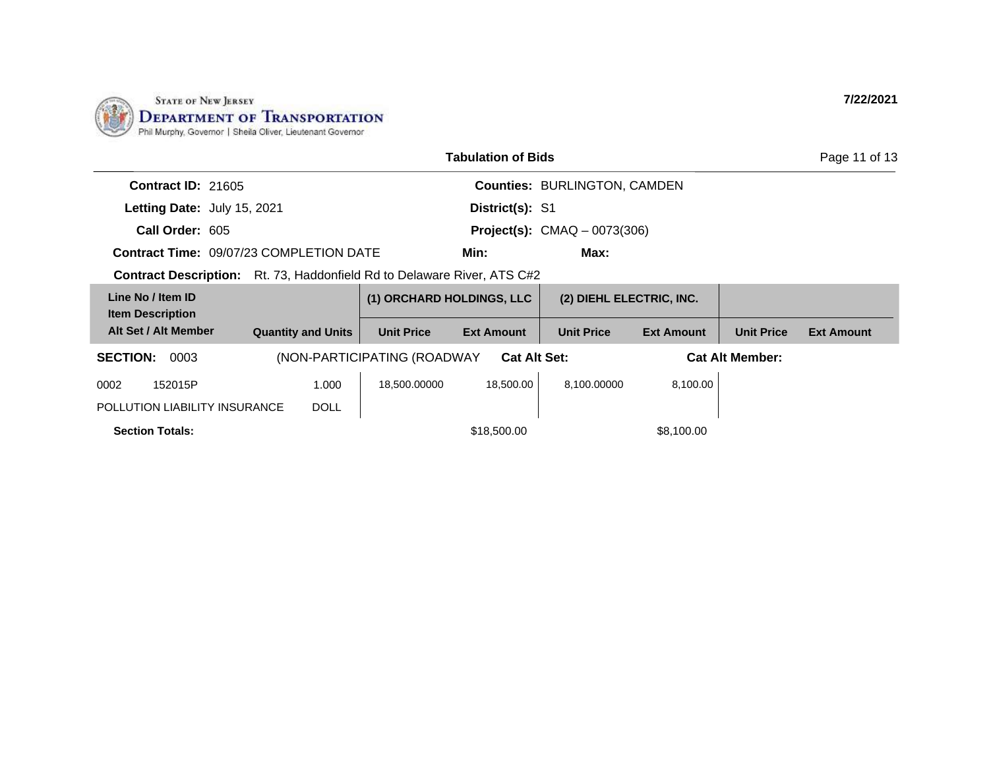

|                                                                                |                           | Page 11 of 13               |                     |                                     |                          |                        |                   |
|--------------------------------------------------------------------------------|---------------------------|-----------------------------|---------------------|-------------------------------------|--------------------------|------------------------|-------------------|
| Contract ID: 21605                                                             |                           |                             |                     | <b>Counties: BURLINGTON, CAMDEN</b> |                          |                        |                   |
| Letting Date: July 15, 2021                                                    |                           |                             | District(s): S1     |                                     |                          |                        |                   |
| Call Order: 605                                                                |                           |                             |                     | Project(s): $CMAQ - 0073(306)$      |                          |                        |                   |
| <b>Contract Time: 09/07/23 COMPLETION DATE</b>                                 |                           |                             | Min:                | Max:                                |                          |                        |                   |
| <b>Contract Description:</b> Rt. 73, Haddonfield Rd to Delaware River, ATS C#2 |                           |                             |                     |                                     |                          |                        |                   |
| Line No / Item ID<br><b>Item Description</b>                                   |                           | (1) ORCHARD HOLDINGS, LLC   |                     |                                     | (2) DIEHL ELECTRIC, INC. |                        |                   |
| Alt Set / Alt Member                                                           | <b>Quantity and Units</b> | <b>Unit Price</b>           | <b>Ext Amount</b>   | <b>Unit Price</b>                   | <b>Ext Amount</b>        | <b>Unit Price</b>      | <b>Ext Amount</b> |
| <b>SECTION:</b><br>0003                                                        |                           | (NON-PARTICIPATING (ROADWAY | <b>Cat Alt Set:</b> |                                     |                          | <b>Cat Alt Member:</b> |                   |
| 0002<br>152015P                                                                | 1.000                     | 18,500.00000                | 18,500.00           | 8,100.00000                         | 8,100.00                 |                        |                   |
| POLLUTION LIABILITY INSURANCE                                                  | <b>DOLL</b>               |                             |                     |                                     |                          |                        |                   |
| <b>Section Totals:</b>                                                         |                           |                             | \$18,500.00         |                                     | \$8,100.00               |                        |                   |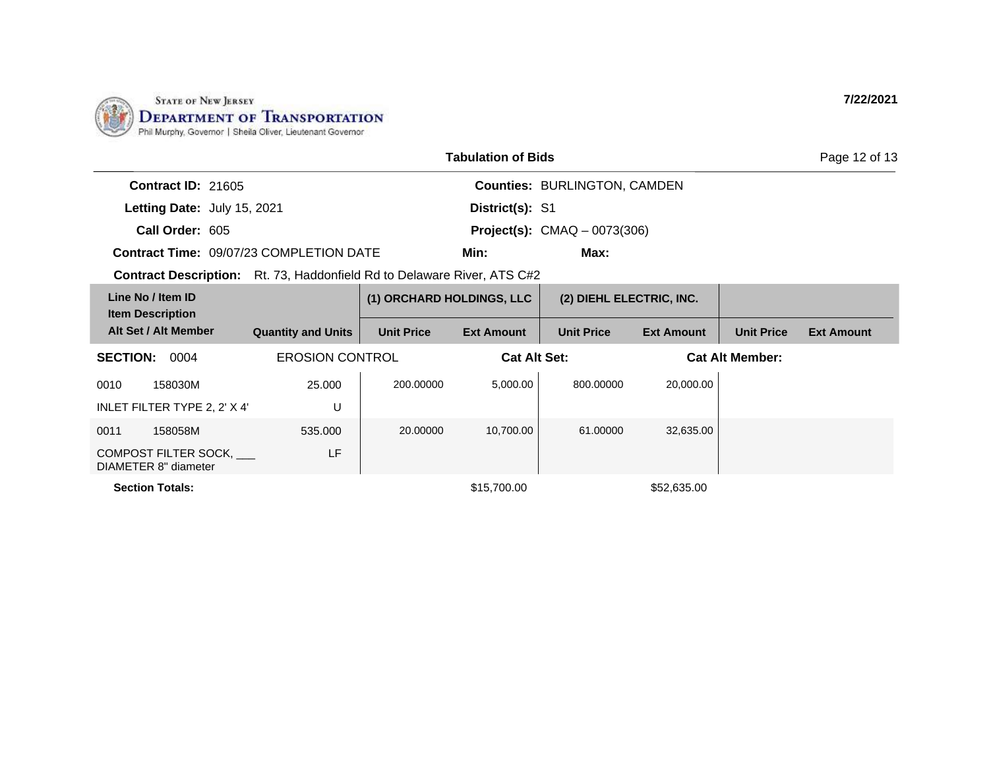

|                                                                                |                           | Page 12 of 13                       |                   |                                       |                   |                        |                   |
|--------------------------------------------------------------------------------|---------------------------|-------------------------------------|-------------------|---------------------------------------|-------------------|------------------------|-------------------|
| <b>Contract ID: 21605</b>                                                      |                           | <b>Counties: BURLINGTON, CAMDEN</b> |                   |                                       |                   |                        |                   |
| Letting Date: July 15, 2021                                                    |                           |                                     | District(s): S1   |                                       |                   |                        |                   |
| Call Order: 605                                                                |                           |                                     |                   | <b>Project(s):</b> $CMAQ - 0073(306)$ |                   |                        |                   |
| Contract Time: 09/07/23 COMPLETION DATE                                        |                           |                                     | Min:              | Max:                                  |                   |                        |                   |
| <b>Contract Description:</b> Rt. 73, Haddonfield Rd to Delaware River, ATS C#2 |                           |                                     |                   |                                       |                   |                        |                   |
| Line No / Item ID<br><b>Item Description</b>                                   |                           | (1) ORCHARD HOLDINGS, LLC           |                   | (2) DIEHL ELECTRIC, INC.              |                   |                        |                   |
| Alt Set / Alt Member                                                           | <b>Quantity and Units</b> | <b>Unit Price</b>                   | <b>Ext Amount</b> | <b>Unit Price</b>                     | <b>Ext Amount</b> | <b>Unit Price</b>      | <b>Ext Amount</b> |
| <b>SECTION: 0004</b>                                                           | <b>EROSION CONTROL</b>    |                                     |                   | <b>Cat Alt Set:</b>                   |                   | <b>Cat Alt Member:</b> |                   |
| 0010<br>158030M                                                                | 25,000                    | 200.00000                           | 5,000.00          | 800.00000                             | 20,000.00         |                        |                   |
| INLET FILTER TYPE 2, 2' X 4'                                                   | U                         |                                     |                   |                                       |                   |                        |                   |
| 0011<br>158058M                                                                | 535,000                   | 20.00000                            | 10,700.00         | 61.00000                              | 32,635.00         |                        |                   |
| COMPOST FILTER SOCK,<br>DIAMETER 8" diameter                                   | LF                        |                                     |                   |                                       |                   |                        |                   |
| <b>Section Totals:</b>                                                         |                           |                                     | \$15,700.00       |                                       | \$52,635.00       |                        |                   |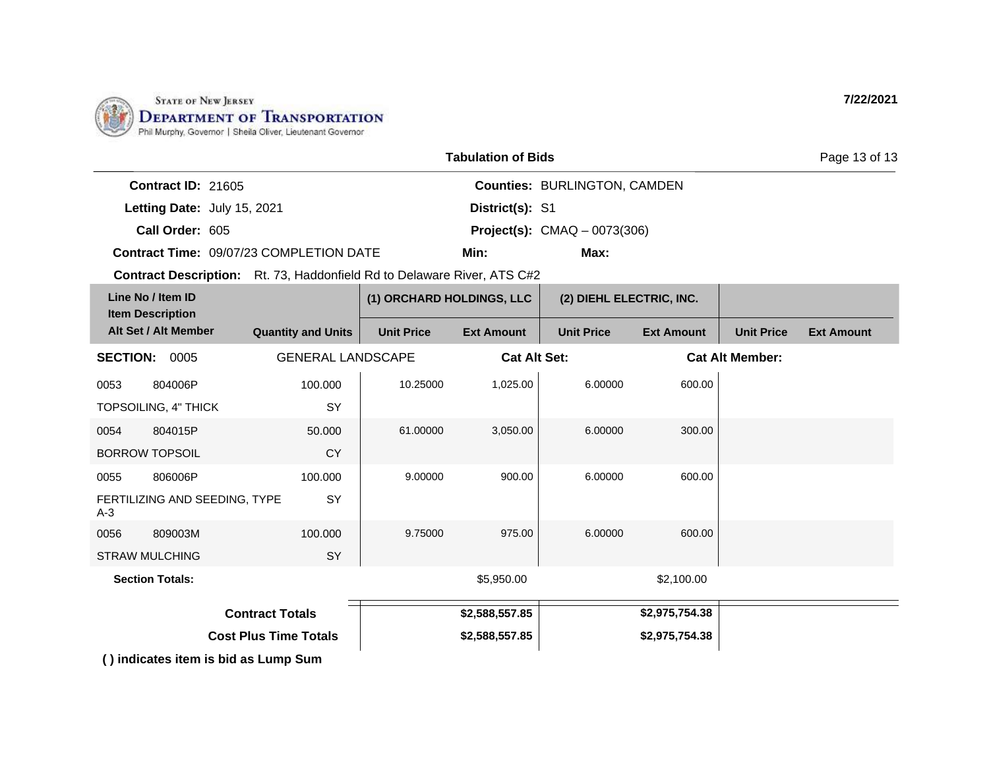

|                                                                                |                           |                           | <b>Tabulation of Bids</b> |                                       |                   |                        | Page 13 of 13     |
|--------------------------------------------------------------------------------|---------------------------|---------------------------|---------------------------|---------------------------------------|-------------------|------------------------|-------------------|
| Contract ID: 21605                                                             |                           |                           |                           | <b>Counties: BURLINGTON, CAMDEN</b>   |                   |                        |                   |
| Letting Date: July 15, 2021                                                    |                           |                           | District(s): S1           |                                       |                   |                        |                   |
| Call Order: 605                                                                |                           |                           |                           | <b>Project(s):</b> $CMAQ - 0073(306)$ |                   |                        |                   |
| <b>Contract Time: 09/07/23 COMPLETION DATE</b>                                 |                           |                           | Min:                      | Max:                                  |                   |                        |                   |
| <b>Contract Description:</b> Rt. 73, Haddonfield Rd to Delaware River, ATS C#2 |                           |                           |                           |                                       |                   |                        |                   |
| Line No / Item ID<br><b>Item Description</b>                                   |                           | (1) ORCHARD HOLDINGS, LLC |                           | (2) DIEHL ELECTRIC, INC.              |                   |                        |                   |
| Alt Set / Alt Member                                                           | <b>Quantity and Units</b> | <b>Unit Price</b>         | <b>Ext Amount</b>         | <b>Unit Price</b>                     | <b>Ext Amount</b> | <b>Unit Price</b>      | <b>Ext Amount</b> |
| <b>SECTION:</b><br>0005                                                        | <b>GENERAL LANDSCAPE</b>  |                           | <b>Cat Alt Set:</b>       |                                       |                   | <b>Cat Alt Member:</b> |                   |
| 0053<br>804006P                                                                | 100.000                   | 10.25000                  | 1,025.00                  | 6.00000                               | 600.00            |                        |                   |
| TOPSOILING, 4" THICK                                                           | <b>SY</b>                 |                           |                           |                                       |                   |                        |                   |
| 804015P<br>0054                                                                | 50.000                    | 61.00000                  | 3,050.00                  | 6.00000                               | 300.00            |                        |                   |
| <b>BORROW TOPSOIL</b>                                                          | <b>CY</b>                 |                           |                           |                                       |                   |                        |                   |
| 0055<br>806006P                                                                | 100.000                   | 9.00000                   | 900.00                    | 6.00000                               | 600.00            |                        |                   |
| FERTILIZING AND SEEDING, TYPE<br>$A-3$                                         | <b>SY</b>                 |                           |                           |                                       |                   |                        |                   |

9.75000 975.00 6.00000 600.00

**\$2,588,557.85 \$2,975,754.38 \$2,588,557.85 Contract Totals Cost Plus Time Totals \$2,975,754.38**

**Section Totals:**  $$5,950.00$   $$2,100.00$ 

100.000

SY

**( ) indicates item is bid as Lump Sum**

0056 809003M STRAW MULCHING